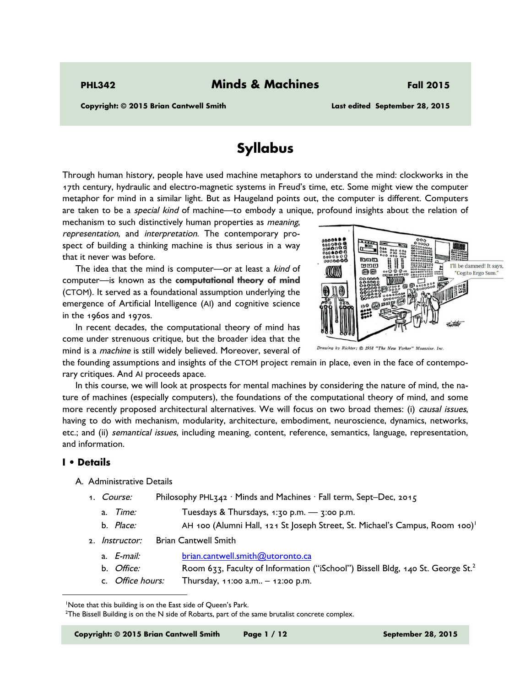**Copyright: © 2015 Brian Cantwell Smith Last edited September 28, 2015** 

# **Syllabus**

Through human history, people have used machine metaphors to understand the mind: clockworks in the 17th century, hydraulic and electro-magnetic systems in Freud's time, etc. Some might view the computer metaphor for mind in a similar light. But as Haugeland points out, the computer is different. Computers are taken to be a special kind of machine—to embody a unique, profound insights about the relation of

mechanism to such distinctively human properties as *meaning*, representation, and interpretation. The contemporary prospect of building a thinking machine is thus serious in a way that it never was before.

The idea that the mind is computer—or at least a kind of computer—is known as the **computational theory of mind** (CTOM). It served as a foundational assumption underlying the emergence of Artificial Intelligence (AI) and cognitive science in the 1960s and 1970s.

In recent decades, the computational theory of mind has come under strenuous critique, but the broader idea that the mind is a machine is still widely believed. Moreover, several of



ng by Richter: © 1958 "The New Yorker" Magazine, Inc.

the founding assumptions and insights of the CTOM project remain in place, even in the face of contemporary critiques. And AI proceeds apace.

In this course, we will look at prospects for mental machines by considering the nature of mind, the nature of machines (especially computers), the foundations of the computational theory of mind, and some more recently proposed architectural alternatives. We will focus on two broad themes: (i) causal issues, having to do with mechanism, modularity, architecture, embodiment, neuroscience, dynamics, networks, etc.; and (ii) semantical issues, including meaning, content, reference, semantics, language, representation, and information.

## **I • Details**

-

## A. Administrative Details

- 1. *Course:* Philosophy PHL<sub>342</sub> · Minds and Machines · Fall term, Sept–Dec, 2015
	- a.  $Time:$  Tuesdays & Thursdays,  $1:30$  p.m.  $3:300$  p.m.
	- b. Place: AH 100 (Alumni Hall, 121 St Joseph Street, St. Michael's Campus, Room 100)<sup>1</sup>
- 2. *Instructor:* Brian Cantwell Smith
	- a. E-mail: brian.cantwell.smith@utoronto.ca
	- b. *Office:* Room 633, Faculty of Information ("iSchool") Bissell Bldg, 140 St. George St.<sup>2</sup>
	- c. Office hours: Thursday,  $11:00$  a.m.,  $-12:00$  p.m.

**Copyright: © 2015 Brian Cantwell Smith Page 1 / 12 September 28, 2015** 

<sup>&</sup>lt;sup>1</sup>Note that this building is on the East side of Queen's Park.

<sup>2</sup> The Bissell Building is on the N side of Robarts, part of the same brutalist concrete complex.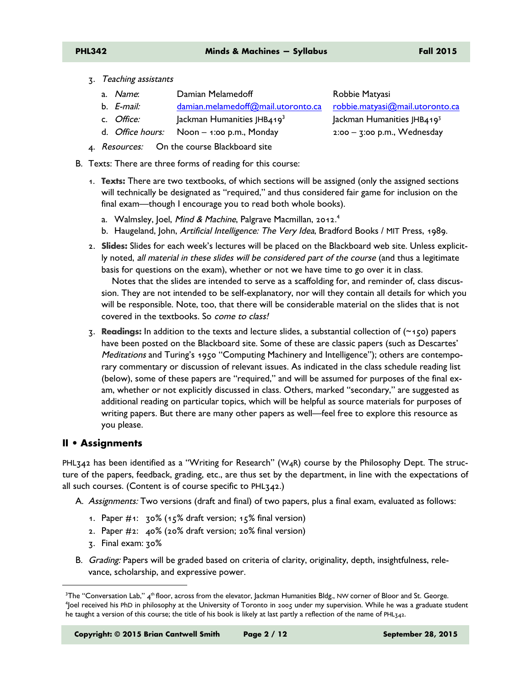- 3. Teaching assistants
	- a. Name: Damian Melamedoff **Robbie Matyasi**
	- b. *E-mail:* damian.melamedoff@mail.utoronto.ca robbie.matyasi@mail.utoronto.ca
	- c. Office:  $\vert$ ackman Humanities JHB419<sup>3</sup>
	- d. *Office hours:* Noon 1:00 p.m., Monday 2:00 3:00 p.m., Wednesday
- 4. Resources: On the course Blackboard site
- B. Texts: There are three forms of reading for this course:
	- 1. **Texts:** There are two textbooks, of which sections will be assigned (only the assigned sections will technically be designated as "required," and thus considered fair game for inclusion on the final exam—though I encourage you to read both whole books).
		- a. Walmsley, Joel, Mind & Machine, Palgrave Macmillan, 2012.<sup>4</sup>
		- b. Haugeland, John, Artificial Intelligence: The Very Idea, Bradford Books / MIT Press, 1989.
	- 2. **Slides:** Slides for each week's lectures will be placed on the Blackboard web site. Unless explicitly noted, all material in these slides will be considered part of the course (and thus a legitimate basis for questions on the exam), whether or not we have time to go over it in class.

Notes that the slides are intended to serve as a scaffolding for, and reminder of, class discussion. They are not intended to be self-explanatory, nor will they contain all details for which you will be responsible. Note, too, that there will be considerable material on the slides that is not covered in the textbooks. So come to class!

3. **Readings:** In addition to the texts and lecture slides, a substantial collection of (~150) papers have been posted on the Blackboard site. Some of these are classic papers (such as Descartes' Meditations and Turing's 1950 "Computing Machinery and Intelligence"); others are contemporary commentary or discussion of relevant issues. As indicated in the class schedule reading list (below), some of these papers are "required," and will be assumed for purposes of the final exam, whether or not explicitly discussed in class. Others, marked "secondary," are suggested as additional reading on particular topics, which will be helpful as source materials for purposes of writing papers. But there are many other papers as well—feel free to explore this resource as you please.

## **II • Assignments**

-

PHL<sub>342</sub> has been identified as a "Writing for Research" (W<sub>4</sub>R) course by the Philosophy Dept. The structure of the papers, feedback, grading, etc., are thus set by the department, in line with the expectations of all such courses. (Content is of course specific to PHL342.)

A. Assignments: Two versions (draft and final) of two papers, plus a final exam, evaluated as follows:

- 1. Paper #1: 30% (15% draft version; 15% final version)
- 2. Paper #2: 40% (20% draft version; 20% final version)
- 3. Final exam: 30%
- B. Grading: Papers will be graded based on criteria of clarity, originality, depth, insightfulness, relevance, scholarship, and expressive power.

**Copyright: © 2015 Brian Cantwell Smith Page 2 / 12 September 28, 2015** 

Jackman Humanities JHB4193

 $^{3}$ The "Conversation Lab," 4<sup>th</sup> floor, across from the elevator, Jackman Humanities Bldg., NW corner of Bloor and St. George.<br><sup>4</sup>loel received his PhD in philosophy at the University of Toronto in 2005 under my supervi <sup>4</sup> Joel received his PhD in philosophy at the University of Toronto in 2005 under my supervision. While he was a graduate student he taught a version of this course; the title of his book is likely at last partly a reflection of the name of PHL342.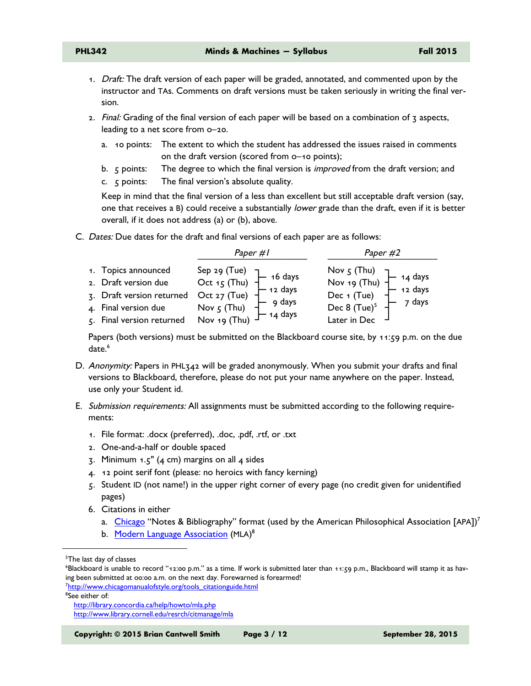- 1. Draft: The draft version of each paper will be graded, annotated, and commented upon by the instructor and TAs. Comments on draft versions must be taken seriously in writing the final version.
- 2. Final: Grading of the final version of each paper will be based on a combination of 3 aspects, leading to a net score from o–20.
	- a. 10 points: The extent to which the student has addressed the issues raised in comments on the draft version (scored from o–10 points);
	- b. 5 points: The degree to which the final version is improved from the draft version; and
	- c. 5 points: The final version's absolute quality.

Keep in mind that the final version of a less than excellent but still acceptable draft version (say, one that receives a B) could receive a substantially *lower* grade than the draft, even if it is better overall, if it does not address (a) or (b), above.

C. Dates: Due dates for the draft and final versions of each paper are as follows:

| 1. Topics announced<br>2. Draft version due<br>3. Draft version returned<br>4. Final version due<br>5. Final version returned<br>8. Nov 5 (Thu)<br>14 days<br>4. Final version returned<br>8. Nov 19 (Thu)<br>14 days | Nov 5 (Thu)<br>Nov 19 (Thu)<br>Dec 1 (Tue)<br>Dec 8 (Tue) <sup>5</sup> – 7 days<br>7 days<br>Later in Dec |
|-----------------------------------------------------------------------------------------------------------------------------------------------------------------------------------------------------------------------|-----------------------------------------------------------------------------------------------------------|

Papers (both versions) must be submitted on the Blackboard course site, by 11:59 p.m. on the due date.<sup>6</sup>

- D. Anonymity: Papers in PHL342 will be graded anonymously. When you submit your drafts and final versions to Blackboard, therefore, please do not put your name anywhere on the paper. Instead, use only your Student id.
- E. Submission requirements: All assignments must be submitted according to the following requirements:
	- 1. File format: .docx (preferred), .doc, .pdf, .rtf, or .txt
	- 2. One-and-a-half or double spaced
	- $\overline{3}$ . Minimum 1.5" (4 cm) margins on all 4 sides
	- 4. 12 point serif font (please: no heroics with fancy kerning)
	- 5. Student ID (not name!) in the upper right corner of every page (no credit given for unidentified pages)
	- 6. Citations in either
		- a. Chicago "Notes & Bibliography" format (used by the American Philosophical Association [APA])<sup>7</sup>
		- b. Modern Language Association (MLA)<sup>8</sup>

-

**Copyright: © 2015 Brian Cantwell Smith Page 3 / 12 September 28, 2015** 

<sup>&</sup>lt;sup>5</sup>The last day of classes

<sup>6</sup> Blackboard is unable to record "12:00 p.m." as a time. If work is submitted later than 11:59 p.m., Blackboard will stamp it as having been submitted at 00:00 a.m. on the next day. Forewarned is forearmed!

<sup>&</sup>lt;sup>7</sup>http://www.chicagomanualofstyle.org/tools\_citationguide.html 8 See either of:

http://library.concordia.ca/help/howto/mla.php http://www.library.cornell.edu/resrch/citmanage/mla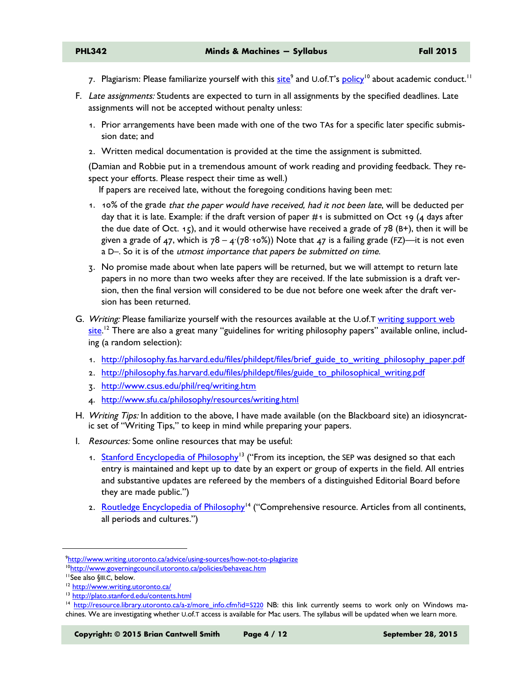- 7. Plagiarism: Please familiarize yourself with this <u>site</u><sup>9</sup> and U.of.T's <u>policy</u><sup>10</sup> about academic conduct.<sup>11</sup>
- F. Late assignments: Students are expected to turn in all assignments by the specified deadlines. Late assignments will not be accepted without penalty unless:
	- 1. Prior arrangements have been made with one of the two TAs for a specific later specific submission date; and
	- 2. Written medical documentation is provided at the time the assignment is submitted.

(Damian and Robbie put in a tremendous amount of work reading and providing feedback. They respect your efforts. Please respect their time as well.)

If papers are received late, without the foregoing conditions having been met:

- 1. 10% of the grade that the paper would have received, had it not been late, will be deducted per day that it is late. Example: if the draft version of paper  $\#$ 1 is submitted on Oct 19 (4 days after the due date of Oct. 15), and it would otherwise have received a grade of 78 (B+), then it will be given a grade of 47, which is  $78 - 4(78.10\%)$  Note that 47 is a failing grade (FZ)—it is not even a D–. So it is of the utmost importance that papers be submitted on time.
- 3. No promise made about when late papers will be returned, but we will attempt to return late papers in no more than two weeks after they are received. If the late submission is a draft version, then the final version will considered to be due not before one week after the draft version has been returned.
- G. Writing: Please familiarize yourself with the resources available at the U.of.T writing support web <mark>site</mark>.'<sup>2</sup> There are also a great many ''guidelines for writing philosophy papers'' available online, including (a random selection):
	- 1. http://philosophy.fas.harvard.edu/files/phildept/files/brief\_guide\_to\_writing\_philosophy\_paper.pdf
	- 2. http://philosophy.fas.harvard.edu/files/phildept/files/guide\_to\_philosophical\_writing.pdf
	- 3. http://www.csus.edu/phil/req/writing.htm
	- 4. http://www.sfu.ca/philosophy/resources/writing.html
- H. Writing Tips: In addition to the above, I have made available (on the Blackboard site) an idiosyncratic set of "Writing Tips," to keep in mind while preparing your papers.
- I. Resources: Some online resources that may be useful:
	- 1. Stanford Encyclopedia of Philosophy<sup>13</sup> ("From its inception, the SEP was designed so that each entry is maintained and kept up to date by an expert or group of experts in the field. All entries and substantive updates are refereed by the members of a distinguished Editorial Board before they are made public.")
	- 2. Routledge Encyclopedia of Philosophy<sup>14</sup> ("Comprehensive resource. Articles from all continents, all periods and cultures.")

-

**Copyright: © 2015 Brian Cantwell Smith Page 4 / 12 September 28, 2015** 

<sup>&</sup>lt;sup>9</sup>http://www.writing.utoronto.ca/advice/using-sources/how-not-to-plagiarize <sup>10</sup>http://www.governingcouncil.utoronto.ca/policies/behaveac.htm

<sup>&</sup>lt;sup>11</sup>See also §III.C, below.<br><sup>12</sup> http://www.writing.utoronto.ca/

<sup>13</sup> http://plato.stanford.edu/contents.html

<sup>14</sup> http://resource.library.utoronto.ca/a-z/more\_info.cfm?id=5220 NB: this link currently seems to work only on Windows machines. We are investigating whether U.of.T access is available for Mac users. The syllabus will be updated when we learn more.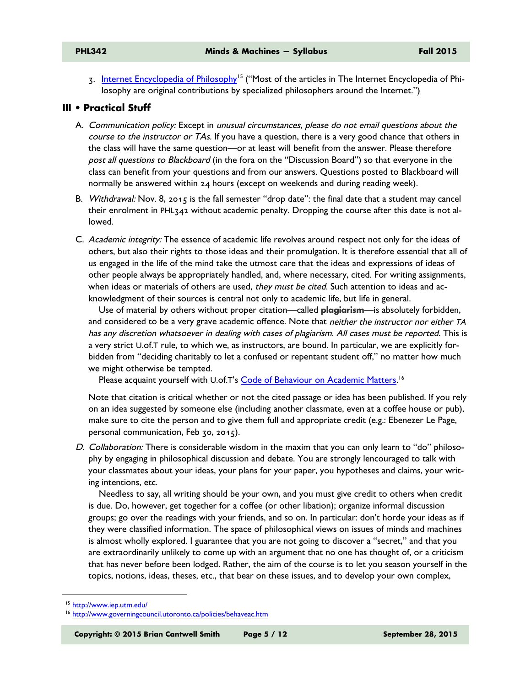3. Internet Encyclopedia of Philosophy15 ("Most of the articles in The Internet Encyclopedia of Philosophy are original contributions by specialized philosophers around the Internet.")

## **III • Practical Stuff**

- A. Communication policy: Except in unusual circumstances, please do not email questions about the course to the instructor or TAs. If you have a question, there is a very good chance that others in the class will have the same question—or at least will benefit from the answer. Please therefore post all questions to Blackboard (in the fora on the "Discussion Board") so that everyone in the class can benefit from your questions and from our answers. Questions posted to Blackboard will normally be answered within 24 hours (except on weekends and during reading week).
- B. Withdrawal: Nov. 8, 2015 is the fall semester "drop date": the final date that a student may cancel their enrolment in PHL342 without academic penalty. Dropping the course after this date is not allowed.
- C. Academic integrity: The essence of academic life revolves around respect not only for the ideas of others, but also their rights to those ideas and their promulgation. It is therefore essential that all of us engaged in the life of the mind take the utmost care that the ideas and expressions of ideas of other people always be appropriately handled, and, where necessary, cited. For writing assignments, when ideas or materials of others are used, they must be cited. Such attention to ideas and acknowledgment of their sources is central not only to academic life, but life in general.

Use of material by others without proper citation—called **plagiarism**—is absolutely forbidden, and considered to be a very grave academic offence. Note that *neither the instructor nor either TA* has any discretion whatsoever in dealing with cases of plagiarism. All cases must be reported. This is a very strict U.of.T rule, to which we, as instructors, are bound. In particular, we are explicitly forbidden from "deciding charitably to let a confused or repentant student off," no matter how much we might otherwise be tempted.

Please acquaint yourself with U.of.T's <u>Code of Behaviour on Academic Matters.</u> <sup>16</sup>

Note that citation is critical whether or not the cited passage or idea has been published. If you rely on an idea suggested by someone else (including another classmate, even at a coffee house or pub), make sure to cite the person and to give them full and appropriate credit (e.g.: Ebenezer Le Page, personal communication, Feb 30, 2015).

D. Collaboration: There is considerable wisdom in the maxim that you can only learn to "do" philosophy by engaging in philosophical discussion and debate. You are strongly lencouraged to talk with your classmates about your ideas, your plans for your paper, you hypotheses and claims, your writing intentions, etc.

Needless to say, all writing should be your own, and you must give credit to others when credit is due. Do, however, get together for a coffee (or other libation); organize informal discussion groups; go over the readings with your friends, and so on. In particular: don't horde your ideas as if they were classified information. The space of philosophical views on issues of minds and machines is almost wholly explored. I guarantee that you are not going to discover a "secret," and that you are extraordinarily unlikely to come up with an argument that no one has thought of, or a criticism that has never before been lodged. Rather, the aim of the course is to let you season yourself in the topics, notions, ideas, theses, etc., that bear on these issues, and to develop your own complex,

-

**Copyright: © 2015 Brian Cantwell Smith Page 5 / 12 September 28, 2015** 

<sup>15</sup> http://www.iep.utm.edu/

<sup>16</sup> http://www.governingcouncil.utoronto.ca/policies/behaveac.htm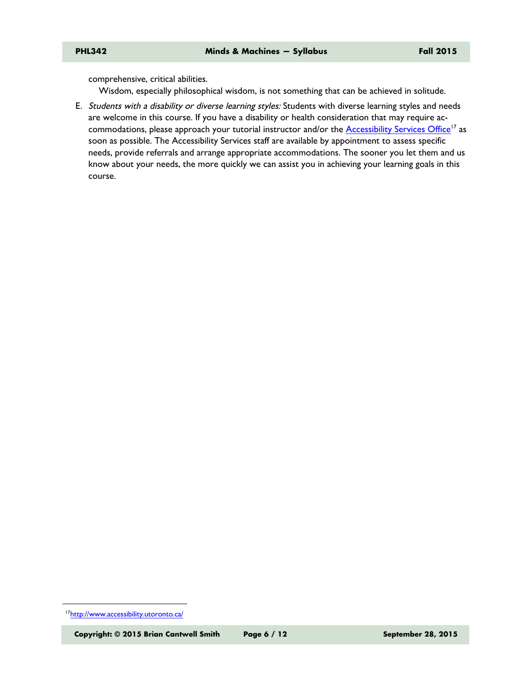comprehensive, critical abilities.

Wisdom, especially philosophical wisdom, is not something that can be achieved in solitude.

E. Students with a disability or diverse learning styles: Students with diverse learning styles and needs are welcome in this course. If you have a disability or health consideration that may require accommodations, please approach your tutorial instructor and/or the Accessibility Services Office<sup>17</sup> as soon as possible. The Accessibility Services staff are available by appointment to assess specific needs, provide referrals and arrange appropriate accommodations. The sooner you let them and us know about your needs, the more quickly we can assist you in achieving your learning goals in this course.

-

<sup>17</sup>http://www.accessibility.utoronto.ca/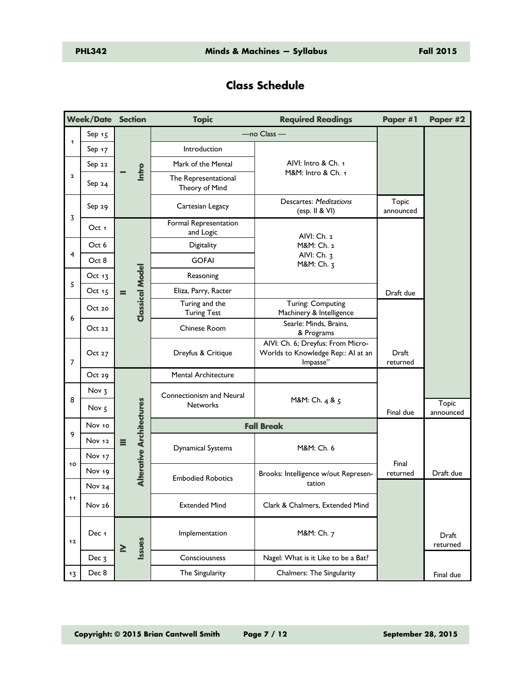## **Class Schedule**

|                | <b>Week/Date Section</b> |                                             | <b>Topic</b>                           | <b>Required Readings</b>                                                            | Paper #1                             | Paper #2                  |
|----------------|--------------------------|---------------------------------------------|----------------------------------------|-------------------------------------------------------------------------------------|--------------------------------------|---------------------------|
|                | Sep $15$                 | Intro                                       | $-$ no Class $-$                       |                                                                                     |                                      |                           |
| 1              | Sep $17$                 |                                             | Introduction                           |                                                                                     |                                      |                           |
| $\overline{a}$ | Sep 22                   |                                             | Mark of the Mental                     | AIVI: Intro & Ch. 1                                                                 |                                      |                           |
|                | Sep $24$                 |                                             | The Representational<br>Theory of Mind | M&M: Intro & Ch. 1                                                                  |                                      |                           |
| 3              | Sep 29                   |                                             | Cartesian Legacy                       | <b>Descartes: Meditations</b><br>(esp. II & VI)                                     | Topic<br>announced                   |                           |
|                | Oct 1                    |                                             | Formal Representation<br>and Logic     | AIVI: Ch. 2                                                                         |                                      |                           |
| 4              | Oct 6                    |                                             | Digitality                             | M&M: Ch. 2                                                                          |                                      |                           |
|                | Oct 8                    |                                             | <b>GOFAI</b>                           | AIVI: Ch. 3<br>M&M: Ch. 3                                                           |                                      |                           |
| 5              | Oct 13                   |                                             | Reasoning                              |                                                                                     |                                      |                           |
|                | Oct 15                   | $=$                                         | Eliza, Parry, Racter                   |                                                                                     | Draft due                            |                           |
| 6              | Oct 20                   | <b>Classical Model</b>                      | Turing and the<br><b>Turing Test</b>   | Turing: Computing<br>Machinery & Intelligence                                       |                                      |                           |
|                | Oct22                    |                                             | Chinese Room                           | Searle: Minds, Brains,<br>& Programs                                                |                                      |                           |
| 7              | Oct 27                   |                                             | Dreyfus & Critique                     | AIVI: Ch. 6; Dreyfus: From Micro-<br>Worlds to Knowledge Rep:: AI at an<br>Impasse" | Draft<br>returned                    |                           |
|                | Oct 29                   |                                             | Mental Architecture                    |                                                                                     |                                      |                           |
| 8              | Nov <sub>3</sub>         |                                             | Connectionism and Neural               |                                                                                     |                                      |                           |
|                | Nov <sub>5</sub>         |                                             | <b>Networks</b>                        | M&M: Ch. 4 & 5                                                                      | Final due                            | <b>Topic</b><br>announced |
|                | Nov 10                   |                                             |                                        | <b>Fall Break</b>                                                                   |                                      |                           |
| 9              | Nov 12                   | <b>Alterative Architectures</b><br>$\equiv$ |                                        |                                                                                     |                                      |                           |
| 10             | Nov $17$                 |                                             | <b>Dynamical Systems</b>               | M&M: Ch. 6                                                                          |                                      |                           |
|                |                          | Nov 19                                      |                                        |                                                                                     | Brooks: Intelligence w/out Represen- | Final<br>returned         |
| 11             | Nov 24                   |                                             | <b>Embodied Robotics</b>               | tation                                                                              |                                      |                           |
|                | Nov 26                   |                                             | <b>Extended Mind</b>                   | Clark & Chalmers, Extended Mind                                                     |                                      |                           |
| $12$           | Dec 1                    | <b>Issues</b><br>$\geq$                     | Implementation                         | M&M: Ch. 7                                                                          |                                      | Draft<br>returned         |
|                | Dec $3$                  |                                             | Consciousness                          | Nagel: What is it Like to be a Bat?                                                 |                                      |                           |
| 13             | Dec 8                    |                                             | The Singularity                        | Chalmers: The Singularity                                                           |                                      | Final due                 |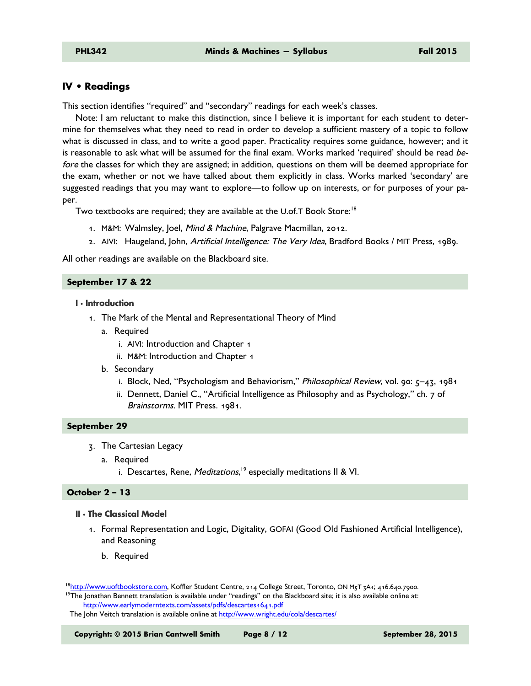## **IV • Readings**

This section identifies "required" and "secondary" readings for each week's classes.

Note: I am reluctant to make this distinction, since I believe it is important for each student to determine for themselves what they need to read in order to develop a sufficient mastery of a topic to follow what is discussed in class, and to write a good paper. Practicality requires some guidance, however; and it is reasonable to ask what will be assumed for the final exam. Works marked 'required' should be read before the classes for which they are assigned; in addition, questions on them will be deemed appropriate for the exam, whether or not we have talked about them explicitly in class. Works marked 'secondary' are suggested readings that you may want to explore—to follow up on interests, or for purposes of your paper.

Two textbooks are required; they are available at the U.of.T Book Store:<sup>18</sup>

- 1. M&M: Walmsley, Joel, Mind & Machine, Palgrave Macmillan, 2012.
- 2. AIVI: Haugeland, John, Artificial Intelligence: The Very Idea, Bradford Books / MIT Press, 1989.

All other readings are available on the Blackboard site.

#### **September 17 & 22**

#### **I · Introduction**

- 1. The Mark of the Mental and Representational Theory of Mind
	- a. Required
		- i. AIVI: Introduction and Chapter 1
		- ii. M&M: Introduction and Chapter 1
	- b. Secondary
		- i. Block, Ned, "Psychologism and Behaviorism," Philosophical Review, vol. 90: 5–43, 1981
		- ii. Dennett, Daniel C., "Artificial Intelligence as Philosophy and as Psychology," ch. 7 of Brainstorms. MIT Press. 1981.

#### **September 29**

- 3. The Cartesian Legacy
	- a. Required
		- i. Descartes, Rene, *Meditations*,<sup>19</sup> especially meditations II & VI.

#### **October 2 – 13**

-

#### **II · The Classical Model**

- 1. Formal Representation and Logic, Digitality, GOFAI (Good Old Fashioned Artificial Intelligence), and Reasoning
	- b. Required

<sup>&</sup>lt;sup>18</sup>http://www.uoftbookstore.com, Koffler Student Centre, 214 College Street, Toronto, ON M<sub>5</sub>T 3A1; 416.640.7900. <sup>19</sup>The Jonathan Bennett translation is available under "readings" on the Blackboard site; it is also available online at: http://www.earlymoderntexts.com/assets/pdfs/descartes1641.pdf

The John Veitch translation is available online at http://www.wright.edu/cola/descartes/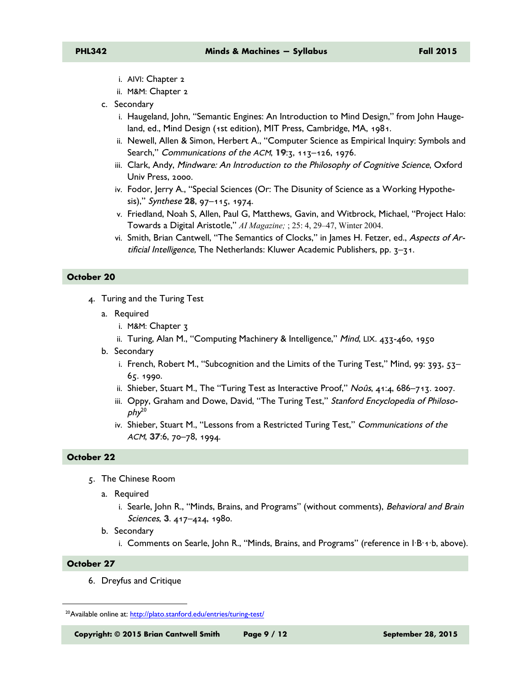- i. AIVI: Chapter 2
- ii. M&M: Chapter 2
- c. Secondary
	- i. Haugeland, John, "Semantic Engines: An Introduction to Mind Design," from John Haugeland, ed., Mind Design (1st edition), MIT Press, Cambridge, MA, 1981.
	- ii. Newell, Allen & Simon, Herbert A., "Computer Science as Empirical Inquiry: Symbols and Search," Communications of the ACM, **19**:3, 113–126, 1976.
	- iii. Clark, Andy, Mindware: An Introduction to the Philosophy of Cognitive Science, Oxford Univ Press, 2000.
	- iv. Fodor, Jerry A., "Special Sciences (Or: The Disunity of Science as a Working Hypothesis)," Synthese **28**, 97–115, 1974.
	- v. Friedland, Noah S, Allen, Paul G, Matthews, Gavin, and Witbrock, Michael, "Project Halo: Towards a Digital Aristotle," *AI Magazine;* ; 25: 4, 29–47, Winter 2004.
	- vi. Smith, Brian Cantwell, "The Semantics of Clocks," in James H. Fetzer, ed., Aspects of Artificial Intelligence, The Netherlands: Kluwer Academic Publishers, pp. 3–31.

#### **October 20**

- 4. Turing and the Turing Test
	- a. Required
		- i. M&M: Chapter 3
		- ii. Turing, Alan M., "Computing Machinery & Intelligence," Mind, LIX. 433-460, 1950
	- b. Secondary
		- i. French, Robert M., "Subcognition and the Limits of the Turing Test," Mind, 99: 393,  $53-$ 65. 1990.
		- ii. Shieber, Stuart M., The "Turing Test as Interactive Proof," Noûs, 41:4, 686–713. 2007.
		- iii. Oppy, Graham and Dowe, David, "The Turing Test," Stanford Encyclopedia of Philoso $phy<sup>20</sup>$
		- iv. Shieber, Stuart M., "Lessons from a Restricted Turing Test," Communications of the ACM, **37**:6, 70–78, 1994.

#### **October 22**

- 5. The Chinese Room
	- a. Required
		- i. Searle, John R., "Minds, Brains, and Programs" (without comments), Behavioral and Brain Sciences, **3**. 417–424, 1980.
	- b. Secondary
		- i. Comments on Searle, John R., "Minds, Brains, and Programs" (reference in I·B·1·b, above).

#### **October 27**

-

6. Dreyfus and Critique

**Copyright: © 2015 Brian Cantwell Smith Page 9 / 12 September 28, 2015** 

<sup>20</sup>Available online at: http://plato.stanford.edu/entries/turing-test/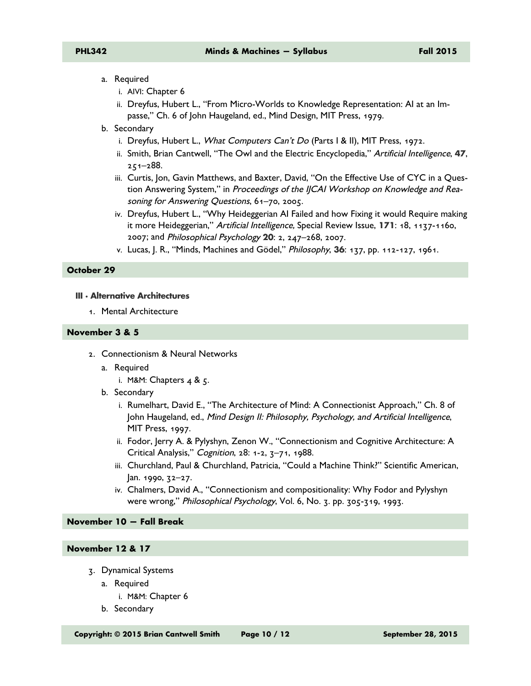- a. Required
	- i. AIVI: Chapter 6
	- ii. Dreyfus, Hubert L., "From Micro-Worlds to Knowledge Representation: AI at an Impasse," Ch. 6 of John Haugeland, ed., Mind Design, MIT Press, 1979.
- b. Secondary
	- i. Dreyfus, Hubert L., What Computers Can't Do (Parts I & II), MIT Press, 1972.
	- ii. Smith, Brian Cantwell, "The Owl and the Electric Encyclopedia," Artificial Intelligence, **47**, 251–288.
	- iii. Curtis, Jon, Gavin Matthews, and Baxter, David, "On the Effective Use of CYC in a Question Answering System," in Proceedings of the IJCAI Workshop on Knowledge and Reasoning for Answering Questions, 61–70, 2005.
	- iv. Dreyfus, Hubert L., "Why Heideggerian AI Failed and how Fixing it would Require making it more Heideggerian," Artificial Intelligence, Special Review Issue, **171**: 18, 1137-1160, 2007; and Philosophical Psychology **20**: 2, 247–268, 2007.
	- v. Lucas, J. R., "Minds, Machines and Gödel," Philosophy, **36**: 137, pp. 112-127, 1961.

#### **October 29**

## **III · Alternative Architectures**

1. Mental Architecture

#### **November 3 & 5**

- 2. Connectionism & Neural Networks
	- a. Required
		- i. M&M: Chapters  $4 \& 5$ .
	- b. Secondary
		- i. Rumelhart, David E., "The Architecture of Mind: A Connectionist Approach," Ch. 8 of John Haugeland, ed., Mind Design II: Philosophy, Psychology, and Artificial Intelligence, MIT Press, 1997.
		- ii. Fodor, Jerry A. & Pylyshyn, Zenon W., "Connectionism and Cognitive Architecture: A Critical Analysis," Cognition, 28: 1-2, 3–71, 1988.
		- iii. Churchland, Paul & Churchland, Patricia, "Could a Machine Think?" Scientific American,  $|an. 1990, 72-27.$
		- iv. Chalmers, David A., "Connectionism and compositionality: Why Fodor and Pylyshyn were wrong," Philosophical Psychology, Vol. 6, No. 3. pp. 305-319, 1993.

### **November 10 — Fall Break**

## **November 12 & 17**

- 3. Dynamical Systems
	- a. Required
		- i. M&M: Chapter 6
	- b. Secondary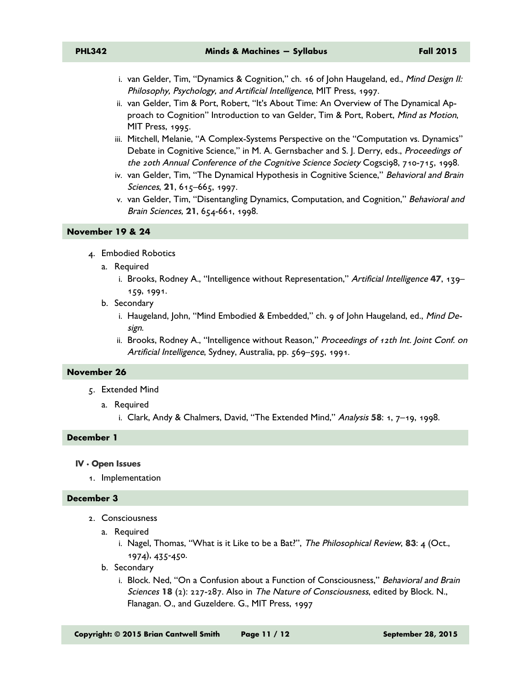- i. van Gelder, Tim, "Dynamics & Cognition," ch. 16 of John Haugeland, ed., Mind Design II: Philosophy, Psychology, and Artificial Intelligence, MIT Press, 1997.
- ii. van Gelder, Tim & Port, Robert, "It's About Time: An Overview of The Dynamical Approach to Cognition" Introduction to van Gelder, Tim & Port, Robert, Mind as Motion, MIT Press, 1995.
- iii. Mitchell, Melanie, "A Complex-Systems Perspective on the "Computation vs. Dynamics" Debate in Cognitive Science," in M. A. Gernsbacher and S. J. Derry, eds., Proceedings of the 20th Annual Conference of the Cognitive Science Society Cogsci98, 710-715, 1998.
- iv. van Gelder, Tim, "The Dynamical Hypothesis in Cognitive Science," Behavioral and Brain Sciences, **21**, 615–665, 1997.
- v. van Gelder, Tim, "Disentangling Dynamics, Computation, and Cognition," Behavioral and Brain Sciences, **21**, 654-661, 1998.

#### **November 19 & 24**

- 4. Embodied Robotics
	- a. Required
		- i. Brooks, Rodney A., "Intelligence without Representation," Artificial Intelligence **47**, 139– 159, 1991.
	- b. Secondary
		- i. Haugeland, John, "Mind Embodied & Embedded," ch. 9 of John Haugeland, ed., Mind Design.
		- ii. Brooks, Rodney A., "Intelligence without Reason," Proceedings of 12th Int. Joint Conf. on Artificial Intelligence, Sydney, Australia, pp. 569-595, 1991.

#### **November 26**

- 5. Extended Mind
	- a. Required
		- i. Clark, Andy & Chalmers, David, "The Extended Mind," Analysis **58**: 1, 7–19, 1998.

#### **December 1**

#### **IV · Open Issues**

1. Implementation

#### **December 3**

- 2. Consciousness
	- a. Required
		- i. Nagel, Thomas, "What is it Like to be a Bat?", The Philosophical Review, **83**: 4 (Oct., 1974), 435-450.
	- b. Secondary
		- i. Block. Ned, "On a Confusion about a Function of Consciousness," Behavioral and Brain Sciences **18** (2): 227-287. Also in The Nature of Consciousness, edited by Block. N., Flanagan. O., and Guzeldere. G., MIT Press, 1997